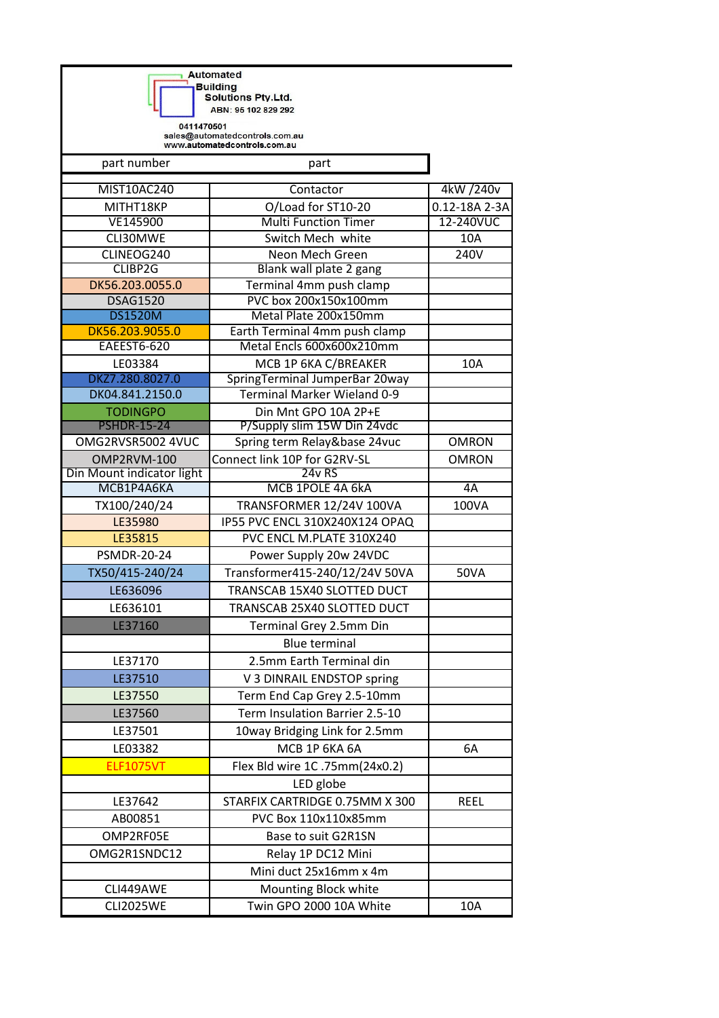**Automated Building<br>| Building**<br>| Solutions Pty.Ltd. ABN: 95 102 829 292

0411470501<br>sales@automatedcontrols.com.au<br>www.automatedcontrols.com.au

ī

| part number                           | part                                                       |               |
|---------------------------------------|------------------------------------------------------------|---------------|
| MIST10AC240                           | Contactor                                                  | 4kW /240v     |
| MITHT18KP                             | O/Load for ST10-20                                         | 0.12-18A 2-3A |
| VE145900                              | <b>Multi Function Timer</b>                                | 12-240VUC     |
| CLI30MWE                              | Switch Mech white                                          | 10A           |
| CLINEOG240                            | Neon Mech Green                                            | 240V          |
| CLIBP2G                               | Blank wall plate 2 gang                                    |               |
| DK56.203.0055.0                       | Terminal 4mm push clamp                                    |               |
| <b>DSAG1520</b>                       | PVC box 200x150x100mm                                      |               |
| <b>DS1520M</b>                        | Metal Plate 200x150mm                                      |               |
| DK56.203.9055.0<br><b>EAEEST6-620</b> | Earth Terminal 4mm push clamp<br>Metal Encls 600x600x210mm |               |
| LE03384                               |                                                            | 10A           |
| DKZ7.280.8027.0                       | MCB 1P 6KA C/BREAKER<br>SpringTerminal JumperBar 20way     |               |
| DK04.841.2150.0                       | Terminal Marker Wieland 0-9                                |               |
| <b>TODINGPO</b>                       | Din Mnt GPO 10A 2P+E                                       |               |
| <b>PSHDR-15-24</b>                    | P/Supply slim 15W Din 24vdc                                |               |
| OMG2RVSR5002 4VUC                     | Spring term Relay&base 24vuc                               | <b>OMRON</b>  |
| OMP2RVM-100                           | Connect link 10P for G2RV-SL                               | <b>OMRON</b>  |
| Din Mount indicator light             | 24v RS                                                     |               |
| <b>МСВ1Р4А6КА</b>                     | MCB 1POLE 4A 6kA                                           | 4A            |
| TX100/240/24                          | TRANSFORMER 12/24V 100VA                                   | 100VA         |
| LE35980                               | IP55 PVC ENCL 310X240X124 OPAQ                             |               |
| LE35815                               | PVC ENCL M.PLATE 310X240                                   |               |
| <b>PSMDR-20-24</b>                    | Power Supply 20w 24VDC                                     |               |
| TX50/415-240/24                       | Transformer415-240/12/24V 50VA                             | <b>50VA</b>   |
| LE636096                              | TRANSCAB 15X40 SLOTTED DUCT                                |               |
| LE636101                              | TRANSCAB 25X40 SLOTTED DUCT                                |               |
| LE37160                               | Terminal Grey 2.5mm Din                                    |               |
|                                       | <b>Blue terminal</b>                                       |               |
| LE37170                               | 2.5mm Earth Terminal din                                   |               |
| LE37510                               | V 3 DINRAIL ENDSTOP spring                                 |               |
| LE37550                               | Term End Cap Grey 2.5-10mm                                 |               |
| LE37560                               | Term Insulation Barrier 2.5-10                             |               |
| LE37501                               | 10way Bridging Link for 2.5mm                              |               |
| LE03382                               | MCB 1P 6KA 6A                                              | 6A            |
| <b>ELF1075VT</b>                      | Flex Bld wire 1C.75mm(24x0.2)                              |               |
|                                       |                                                            |               |
|                                       | LED globe                                                  |               |
| LE37642                               | STARFIX CARTRIDGE 0.75MM X 300                             | <b>REEL</b>   |
| AB00851                               | PVC Box 110x110x85mm                                       |               |
| OMP2RF05E                             | Base to suit G2R1SN                                        |               |
| OMG2R1SNDC12                          | Relay 1P DC12 Mini                                         |               |
|                                       | Mini duct 25x16mm x 4m                                     |               |
| CLI449AWE                             | Mounting Block white                                       |               |
| <b>CLI2025WE</b>                      | Twin GPO 2000 10A White                                    | 10A           |
|                                       |                                                            |               |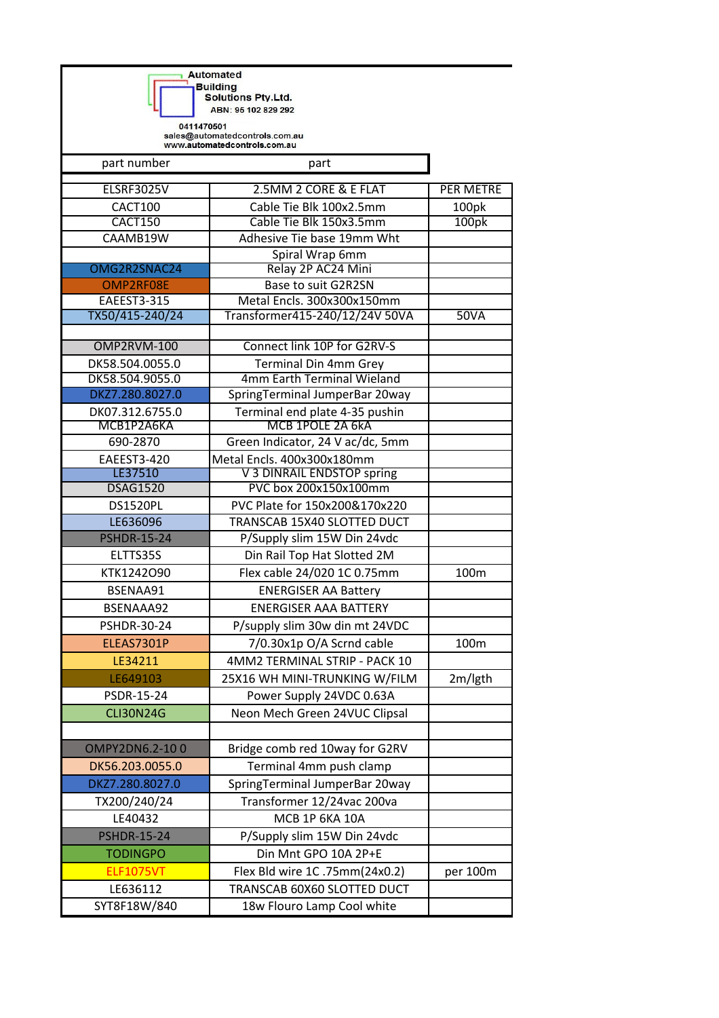**Automated Building<br>| Building**<br>| Solutions Pty.Ltd. ABN: 95 102 829 292

0411470501<br>sales@automatedcontrols.com.au<br>www.automatedcontrols.com.au

ī

| part number        | part                             |                  |
|--------------------|----------------------------------|------------------|
| <b>ELSRF3025V</b>  | 2.5MM 2 CORE & E FLAT            | <b>PER METRE</b> |
| CACT100            | Cable Tie Blk 100x2.5mm          | 100pk            |
| CACT150            | Cable Tie Blk 150x3.5mm          | 100pk            |
| CAAMB19W           | Adhesive Tie base 19mm Wht       |                  |
|                    | Spiral Wrap 6mm                  |                  |
| OMG2R2SNAC24       | Relay 2P AC24 Mini               |                  |
| OMP2RF08E          | Base to suit G2R2SN              |                  |
| <b>EAEEST3-315</b> | Metal Encls. 300x300x150mm       |                  |
| TX50/415-240/24    | Transformer415-240/12/24V 50VA   | <b>50VA</b>      |
| OMP2RVM-100        | Connect link 10P for G2RV-S      |                  |
| DK58.504.0055.0    | <b>Terminal Din 4mm Grey</b>     |                  |
| DK58.504.9055.0    | 4mm Earth Terminal Wieland       |                  |
| DKZ7.280.8027.0    | SpringTerminal JumperBar 20way   |                  |
| DK07.312.6755.0    | Terminal end plate 4-35 pushin   |                  |
| MCB1P2A6KA         | MCB 1POLE 2A 6kA                 |                  |
| 690-2870           | Green Indicator, 24 V ac/dc, 5mm |                  |
| EAEEST3-420        | Metal Encls. 400x300x180mm       |                  |
| LE37510            | V 3 DINRAIL ENDSTOP spring       |                  |
| <b>DSAG1520</b>    | PVC box 200x150x100mm            |                  |
| <b>DS1520PL</b>    | PVC Plate for 150x200&170x220    |                  |
| LE636096           | TRANSCAB 15X40 SLOTTED DUCT      |                  |
| <b>PSHDR-15-24</b> | P/Supply slim 15W Din 24vdc      |                  |
| ELTTS35S           | Din Rail Top Hat Slotted 2M      |                  |
| KTK1242O90         | Flex cable 24/020 1C 0.75mm      | 100m             |
| BSENAA91           | <b>ENERGISER AA Battery</b>      |                  |
| BSENAAA92          | <b>ENERGISER AAA BATTERY</b>     |                  |
| PSHDR-30-24        | P/supply slim 30w din mt 24VDC   |                  |
| ELEAS7301P         | 7/0.30x1p O/A Scrnd cable        | 100m             |
| LE34211            | 4MM2 TERMINAL STRIP - PACK 10    |                  |
| LE649103           | 25X16 WH MINI-TRUNKING W/FILM    | 2m/lgth          |
| PSDR-15-24         | Power Supply 24VDC 0.63A         |                  |
| <b>CLI30N24G</b>   | Neon Mech Green 24VUC Clipsal    |                  |
|                    |                                  |                  |
| OMPY2DN6.2-100     | Bridge comb red 10way for G2RV   |                  |
| DK56.203.0055.0    | Terminal 4mm push clamp          |                  |
| DKZ7.280.8027.0    | SpringTerminal JumperBar 20way   |                  |
| TX200/240/24       | Transformer 12/24vac 200va       |                  |
| LE40432            | MCB 1P 6KA 10A                   |                  |
| <b>PSHDR-15-24</b> | P/Supply slim 15W Din 24vdc      |                  |
| <b>TODINGPO</b>    | Din Mnt GPO 10A 2P+E             |                  |
| <b>ELF1075VT</b>   | Flex Bld wire 1C.75mm(24x0.2)    | per 100m         |
| LE636112           | TRANSCAB 60X60 SLOTTED DUCT      |                  |
| SYT8F18W/840       | 18w Flouro Lamp Cool white       |                  |
|                    |                                  |                  |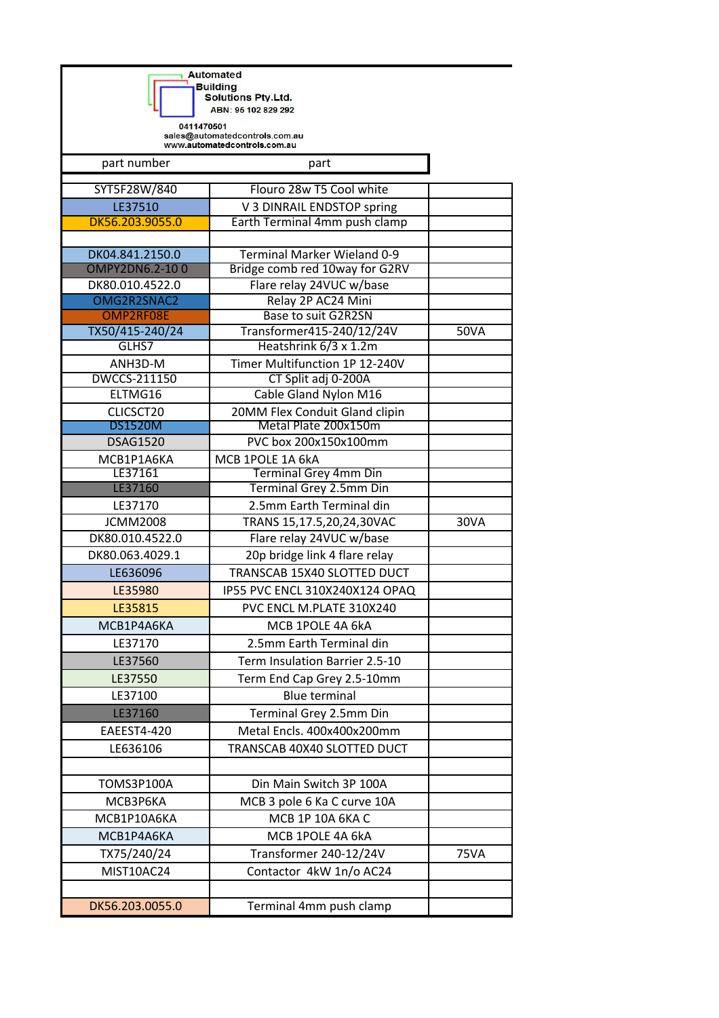**Automated Building<br>| Building**<br>| Solutions Pty.Ltd.

ABN: 95 102 829 292

٦

0411470501<br>sales@automatedcontrols.com.au<br>www.automatedcontrols.com.au

| part number              | part                                               |             |
|--------------------------|----------------------------------------------------|-------------|
| SYT5F28W/840             | Flouro 28w T5 Cool white                           |             |
| LE37510                  | V 3 DINRAIL ENDSTOP spring                         |             |
| DK56.203.9055.0          | Earth Terminal 4mm push clamp                      |             |
|                          |                                                    |             |
| DK04.841.2150.0          | <b>Terminal Marker Wieland 0-9</b>                 |             |
| OMPY2DN6.2-100           | Bridge comb red 10way for G2RV                     |             |
| DK80.010.4522.0          | Flare relay 24VUC w/base                           |             |
| OMG2R2SNAC2              | Relay 2P AC24 Mini                                 |             |
| OMP2RF08E                | Base to suit G2R2SN                                |             |
| TX50/415-240/24<br>GLHS7 | Transformer415-240/12/24V<br>Heatshrink 6/3 x 1.2m | <b>50VA</b> |
| ANH3D-M                  | Timer Multifunction 1P 12-240V                     |             |
| DWCCS-211150             | CT Split adj 0-200A                                |             |
| ELTMG16                  | Cable Gland Nylon M16                              |             |
| CLICSCT20                | 20MM Flex Conduit Gland clipin                     |             |
| <b>DS1520M</b>           | Metal Plate 200x150m                               |             |
| <b>DSAG1520</b>          | PVC box 200x150x100mm                              |             |
| MCB1P1A6KA               | MCB 1POLE 1A 6kA                                   |             |
| LE37161                  | Terminal Grey 4mm Din                              |             |
| LE37160                  | Terminal Grey 2.5mm Din                            |             |
| LE37170                  | 2.5mm Earth Terminal din                           |             |
| <b>JCMM2008</b>          | TRANS 15,17.5,20,24,30VAC                          | 30VA        |
| DK80.010.4522.0          | Flare relay 24VUC w/base                           |             |
| DK80.063.4029.1          | 20p bridge link 4 flare relay                      |             |
| LE636096                 | TRANSCAB 15X40 SLOTTED DUCT                        |             |
| LE35980                  | IP55 PVC ENCL 310X240X124 OPAQ                     |             |
| LE35815                  | PVC ENCL M.PLATE 310X240                           |             |
| MCB1P4A6KA               | MCB 1POLE 4A 6kA                                   |             |
| LE37170                  | 2.5mm Earth Terminal din                           |             |
| LE37560                  | Term Insulation Barrier 2.5-10                     |             |
| LE37550                  | Term End Cap Grey 2.5-10mm                         |             |
| LE37100                  | Blue terminal                                      |             |
| LE37160                  | Terminal Grey 2.5mm Din                            |             |
| EAEEST4-420              | Metal Encls. 400x400x200mm                         |             |
| LE636106                 | TRANSCAB 40X40 SLOTTED DUCT                        |             |
|                          |                                                    |             |
| <b>TOMS3P100A</b>        | Din Main Switch 3P 100A                            |             |
| МСВЗР6КА                 | MCB 3 pole 6 Ka C curve 10A                        |             |
| MCB1P10A6KA              | MCB 1P 10A 6KA C                                   |             |
| MCB1P4A6KA               | MCB 1POLE 4A 6kA                                   |             |
|                          | Transformer 240-12/24V                             | <b>75VA</b> |
| TX75/240/24              |                                                    |             |
| MIST10AC24               | Contactor 4kW 1n/o AC24                            |             |
|                          |                                                    |             |
| DK56.203.0055.0          | Terminal 4mm push clamp                            |             |